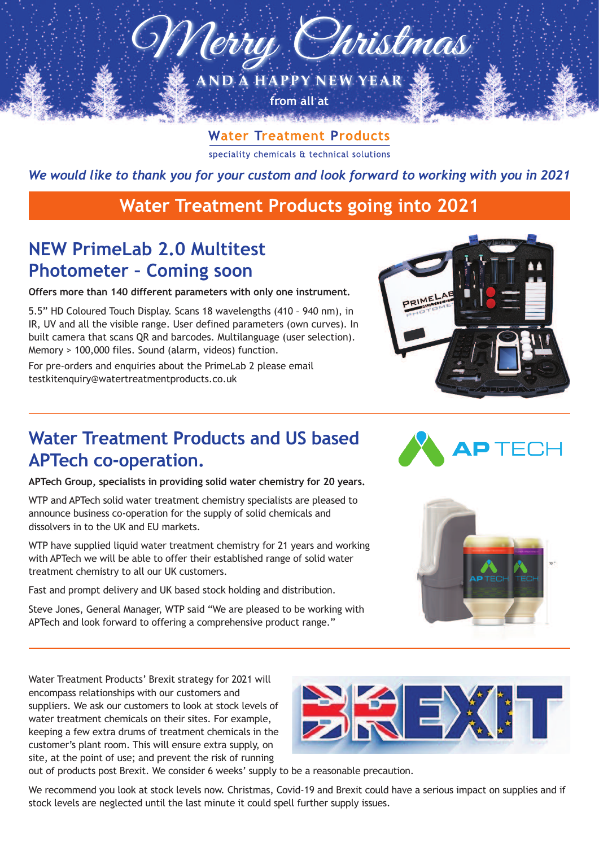

**Water Treatment Products** speciality chemicals & technical solutions

*We would like to thank you for your custom and look forward to working with you in 2021*

#### **Water Treatment Products going into 2021**

# **NEW PrimeLab 2.0 Multitest Photometer – Coming soon**

**Offers more than 140 different parameters with only one instrument.**

5.5" HD Coloured Touch Display. Scans 18 wavelengths (410 – 940 nm), in IR, UV and all the visible range. User defined parameters (own curves). In built camera that scans QR and barcodes. Multilanguage (user selection). Memory > 100,000 files. Sound (alarm, videos) function.

For pre-orders and enquiries about the PrimeLab 2 please email testkitenquiry@watertreatmentproducts.co.uk



### **Water Treatment Products and US based APTech co-operation.**

**APTech Group, specialists in providing solid water chemistry for 20 years.**

WTP and APTech solid water treatment chemistry specialists are pleased to announce business co-operation for the supply of solid chemicals and dissolvers in to the UK and EU markets.

WTP have supplied liquid water treatment chemistry for 21 years and working with APTech we will be able to offer their established range of solid water treatment chemistry to all our UK customers.

Fast and prompt delivery and UK based stock holding and distribution.

Steve Jones, General Manager, WTP said "We are pleased to be working with APTech and look forward to offering a comprehensive product range."





Water Treatment Products' Brexit strategy for 2021 will encompass relationships with our customers and suppliers. We ask our customers to look at stock levels of water treatment chemicals on their sites. For example, keeping a few extra drums of treatment chemicals in the customer's plant room. This will ensure extra supply, on site, at the point of use; and prevent the risk of running



out of products post Brexit. We consider 6 weeks' supply to be a reasonable precaution.

We recommend you look at stock levels now. Christmas, Covid-19 and Brexit could have a serious impact on supplies and if stock levels are neglected until the last minute it could spell further supply issues.